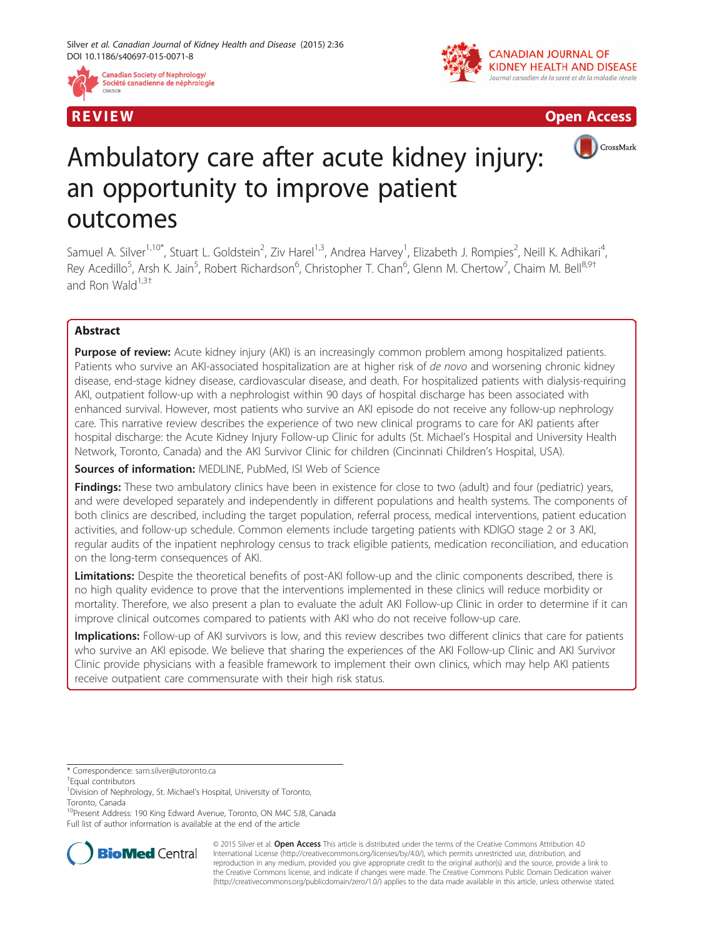







# Ambulatory care after acute kidney injury: an opportunity to improve patient outcomes

Samuel A. Silver<sup>1,10\*</sup>, Stuart L. Goldstein<sup>2</sup>, Ziv Harel<sup>1,3</sup>, Andrea Harvey<sup>1</sup>, Elizabeth J. Rompies<sup>2</sup>, Neill K. Adhikari<sup>4</sup> , Rey Acedillo<sup>5</sup>, Arsh K. Jain<sup>5</sup>, Robert Richardson<sup>6</sup>, Christopher T. Chan<sup>6</sup>, Glenn M. Chertow<sup>7</sup>, Chaim M. Bell<sup>8,9†</sup> and Ron Wald $1,3$ <sup>†</sup>

# Abstract

**Purpose of review:** Acute kidney injury (AKI) is an increasingly common problem among hospitalized patients. Patients who survive an AKI-associated hospitalization are at higher risk of de novo and worsening chronic kidney disease, end-stage kidney disease, cardiovascular disease, and death. For hospitalized patients with dialysis-requiring AKI, outpatient follow-up with a nephrologist within 90 days of hospital discharge has been associated with enhanced survival. However, most patients who survive an AKI episode do not receive any follow-up nephrology care. This narrative review describes the experience of two new clinical programs to care for AKI patients after hospital discharge: the Acute Kidney Injury Follow-up Clinic for adults (St. Michael's Hospital and University Health Network, Toronto, Canada) and the AKI Survivor Clinic for children (Cincinnati Children's Hospital, USA).

Sources of information: MEDLINE, PubMed, ISI Web of Science

Findings: These two ambulatory clinics have been in existence for close to two (adult) and four (pediatric) years, and were developed separately and independently in different populations and health systems. The components of both clinics are described, including the target population, referral process, medical interventions, patient education activities, and follow-up schedule. Common elements include targeting patients with KDIGO stage 2 or 3 AKI, regular audits of the inpatient nephrology census to track eligible patients, medication reconciliation, and education on the long-term consequences of AKI.

Limitations: Despite the theoretical benefits of post-AKI follow-up and the clinic components described, there is no high quality evidence to prove that the interventions implemented in these clinics will reduce morbidity or mortality. Therefore, we also present a plan to evaluate the adult AKI Follow-up Clinic in order to determine if it can improve clinical outcomes compared to patients with AKI who do not receive follow-up care.

Implications: Follow-up of AKI survivors is low, and this review describes two different clinics that care for patients who survive an AKI episode. We believe that sharing the experiences of the AKI Follow-up Clinic and AKI Survivor Clinic provide physicians with a feasible framework to implement their own clinics, which may help AKI patients receive outpatient care commensurate with their high risk status.

<sup>10</sup>Present Address: 190 King Edward Avenue, Toronto, ON M4C 5J8, Canada Full list of author information is available at the end of the article



© 2015 Silver et al. Open Access This article is distributed under the terms of the Creative Commons Attribution 4.0 International License [\(http://creativecommons.org/licenses/by/4.0/](http://creativecommons.org/licenses/by/4.0/)), which permits unrestricted use, distribution, and reproduction in any medium, provided you give appropriate credit to the original author(s) and the source, provide a link to the Creative Commons license, and indicate if changes were made. The Creative Commons Public Domain Dedication waiver [\(http://creativecommons.org/publicdomain/zero/1.0/](http://creativecommons.org/publicdomain/zero/1.0/)) applies to the data made available in this article, unless otherwise stated.

<sup>\*</sup> Correspondence: [sam.silver@utoronto.ca](mailto:sam.silver@utoronto.ca) †

<sup>&</sup>lt;sup>+</sup>Equal contributors

<sup>&</sup>lt;sup>1</sup> Division of Nephrology, St. Michael's Hospital, University of Toronto, Toronto, Canada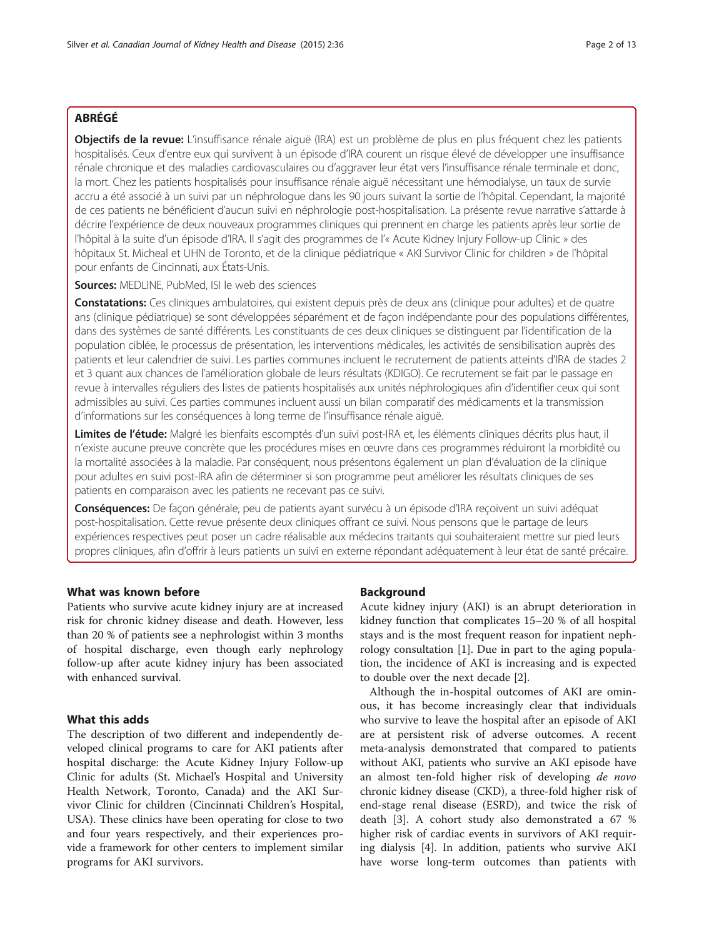# ABRÉGÉ

Objectifs de la revue: L'insuffisance rénale aiguë (IRA) est un problème de plus en plus fréquent chez les patients hospitalisés. Ceux d'entre eux qui survivent à un épisode d'IRA courent un risque élevé de développer une insuffisance rénale chronique et des maladies cardiovasculaires ou d'aggraver leur état vers l'insuffisance rénale terminale et donc, la mort. Chez les patients hospitalisés pour insuffisance rénale aiguë nécessitant une hémodialyse, un taux de survie accru a été associé à un suivi par un néphrologue dans les 90 jours suivant la sortie de l'hôpital. Cependant, la majorité de ces patients ne bénéficient d'aucun suivi en néphrologie post-hospitalisation. La présente revue narrative s'attarde à décrire l'expérience de deux nouveaux programmes cliniques qui prennent en charge les patients après leur sortie de l'hôpital à la suite d'un épisode d'IRA. Il s'agit des programmes de l'« Acute Kidney Injury Follow-up Clinic » des hôpitaux St. Micheal et UHN de Toronto, et de la clinique pédiatrique « AKI Survivor Clinic for children » de l'hôpital pour enfants de Cincinnati, aux États-Unis.

Sources: MEDLINE, PubMed, ISI le web des sciences

Constatations: Ces cliniques ambulatoires, qui existent depuis près de deux ans (clinique pour adultes) et de quatre ans (clinique pédiatrique) se sont développées séparément et de façon indépendante pour des populations différentes, dans des systèmes de santé différents. Les constituants de ces deux cliniques se distinguent par l'identification de la population ciblée, le processus de présentation, les interventions médicales, les activités de sensibilisation auprès des patients et leur calendrier de suivi. Les parties communes incluent le recrutement de patients atteints d'IRA de stades 2 et 3 quant aux chances de l'amélioration globale de leurs résultats (KDIGO). Ce recrutement se fait par le passage en revue à intervalles réguliers des listes de patients hospitalisés aux unités néphrologiques afin d'identifier ceux qui sont admissibles au suivi. Ces parties communes incluent aussi un bilan comparatif des médicaments et la transmission d'informations sur les conséquences à long terme de l'insuffisance rénale aiguë.

Limites de l'étude: Malgré les bienfaits escomptés d'un suivi post-IRA et, les éléments cliniques décrits plus haut, il n'existe aucune preuve concrète que les procédures mises en œuvre dans ces programmes réduiront la morbidité ou la mortalité associées à la maladie. Par conséquent, nous présentons également un plan d'évaluation de la clinique pour adultes en suivi post-IRA afin de déterminer si son programme peut améliorer les résultats cliniques de ses patients en comparaison avec les patients ne recevant pas ce suivi.

Conséquences: De façon générale, peu de patients ayant survécu à un épisode d'IRA recoivent un suivi adéquat post-hospitalisation. Cette revue présente deux cliniques offrant ce suivi. Nous pensons que le partage de leurs expériences respectives peut poser un cadre réalisable aux médecins traitants qui souhaiteraient mettre sur pied leurs propres cliniques, afin d'offrir à leurs patients un suivi en externe répondant adéquatement à leur état de santé précaire.

# What was known before

Patients who survive acute kidney injury are at increased risk for chronic kidney disease and death. However, less than 20 % of patients see a nephrologist within 3 months of hospital discharge, even though early nephrology follow-up after acute kidney injury has been associated with enhanced survival.

# What this adds

The description of two different and independently developed clinical programs to care for AKI patients after hospital discharge: the Acute Kidney Injury Follow-up Clinic for adults (St. Michael's Hospital and University Health Network, Toronto, Canada) and the AKI Survivor Clinic for children (Cincinnati Children's Hospital, USA). These clinics have been operating for close to two and four years respectively, and their experiences provide a framework for other centers to implement similar programs for AKI survivors.

#### Background

Acute kidney injury (AKI) is an abrupt deterioration in kidney function that complicates 15–20 % of all hospital stays and is the most frequent reason for inpatient nephrology consultation [\[1](#page-11-0)]. Due in part to the aging population, the incidence of AKI is increasing and is expected to double over the next decade [\[2\]](#page-11-0).

Although the in-hospital outcomes of AKI are ominous, it has become increasingly clear that individuals who survive to leave the hospital after an episode of AKI are at persistent risk of adverse outcomes. A recent meta-analysis demonstrated that compared to patients without AKI, patients who survive an AKI episode have an almost ten-fold higher risk of developing de novo chronic kidney disease (CKD), a three-fold higher risk of end-stage renal disease (ESRD), and twice the risk of death [[3\]](#page-11-0). A cohort study also demonstrated a 67 % higher risk of cardiac events in survivors of AKI requiring dialysis [\[4](#page-11-0)]. In addition, patients who survive AKI have worse long-term outcomes than patients with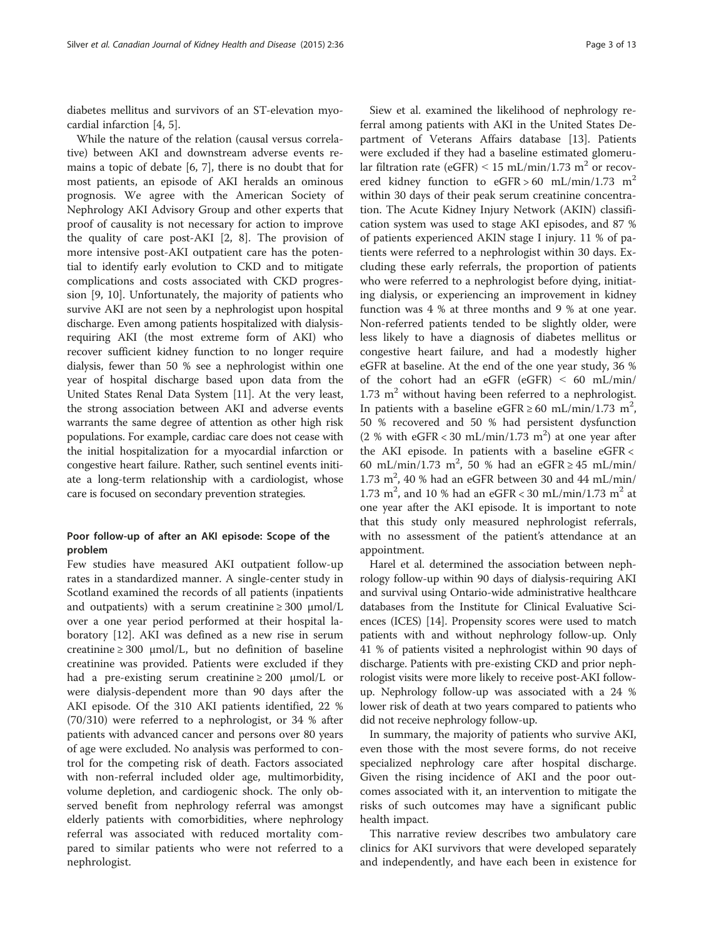diabetes mellitus and survivors of an ST-elevation myocardial infarction [\[4](#page-11-0), [5](#page-11-0)].

While the nature of the relation (causal versus correlative) between AKI and downstream adverse events remains a topic of debate [\[6](#page-11-0), [7\]](#page-11-0), there is no doubt that for most patients, an episode of AKI heralds an ominous prognosis. We agree with the American Society of Nephrology AKI Advisory Group and other experts that proof of causality is not necessary for action to improve the quality of care post-AKI [[2, 8\]](#page-11-0). The provision of more intensive post-AKI outpatient care has the potential to identify early evolution to CKD and to mitigate complications and costs associated with CKD progression [\[9](#page-11-0), [10\]](#page-11-0). Unfortunately, the majority of patients who survive AKI are not seen by a nephrologist upon hospital discharge. Even among patients hospitalized with dialysisrequiring AKI (the most extreme form of AKI) who recover sufficient kidney function to no longer require dialysis, fewer than 50 % see a nephrologist within one year of hospital discharge based upon data from the United States Renal Data System [\[11\]](#page-11-0). At the very least, the strong association between AKI and adverse events warrants the same degree of attention as other high risk populations. For example, cardiac care does not cease with the initial hospitalization for a myocardial infarction or congestive heart failure. Rather, such sentinel events initiate a long-term relationship with a cardiologist, whose care is focused on secondary prevention strategies.

# Poor follow-up of after an AKI episode: Scope of the problem

Few studies have measured AKI outpatient follow-up rates in a standardized manner. A single-center study in Scotland examined the records of all patients (inpatients and outpatients) with a serum creatinine  $\geq 300 \mu$ mol/L over a one year period performed at their hospital laboratory [[12\]](#page-11-0). AKI was defined as a new rise in serum creatinine  $\geq 300 \, \mu$ mol/L, but no definition of baseline creatinine was provided. Patients were excluded if they had a pre-existing serum creatinine  $\geq 200$   $\mu$ mol/L or were dialysis-dependent more than 90 days after the AKI episode. Of the 310 AKI patients identified, 22 % (70/310) were referred to a nephrologist, or 34 % after patients with advanced cancer and persons over 80 years of age were excluded. No analysis was performed to control for the competing risk of death. Factors associated with non-referral included older age, multimorbidity, volume depletion, and cardiogenic shock. The only observed benefit from nephrology referral was amongst elderly patients with comorbidities, where nephrology referral was associated with reduced mortality compared to similar patients who were not referred to a nephrologist.

Siew et al. examined the likelihood of nephrology referral among patients with AKI in the United States Department of Veterans Affairs database [\[13](#page-11-0)]. Patients were excluded if they had a baseline estimated glomerular filtration rate (eGFR)  $\leq$  15 mL/min/1.73 m<sup>2</sup> or recovered kidney function to eGFR > 60 mL/min/1.73 m<sup>2</sup> within 30 days of their peak serum creatinine concentration. The Acute Kidney Injury Network (AKIN) classification system was used to stage AKI episodes, and 87 % of patients experienced AKIN stage I injury. 11 % of patients were referred to a nephrologist within 30 days. Excluding these early referrals, the proportion of patients who were referred to a nephrologist before dying, initiating dialysis, or experiencing an improvement in kidney function was 4 % at three months and 9 % at one year. Non-referred patients tended to be slightly older, were less likely to have a diagnosis of diabetes mellitus or congestive heart failure, and had a modestly higher eGFR at baseline. At the end of the one year study, 36 % of the cohort had an eGFR (eGFR) ˂ 60 mL/min/  $1.73$  m<sup>2</sup> without having been referred to a nephrologist. In patients with a baseline eGFR ≥ 60 mL/min/1.73 m<sup>2</sup>, 50 % recovered and 50 % had persistent dysfunction  $(2 % with eGFR < 30 mL/min/1.73 m<sup>2</sup>)$  at one year after the AKI episode. In patients with a baseline eGFR < 60 mL/min/1.73 m<sup>2</sup>, 50 % had an eGFR  $\geq$  45 mL/min/  $1.73 \text{ m}^2$ , 40 % had an eGFR between 30 and 44 mL/min/ 1.73 m<sup>2</sup>, and 10 % had an eGFR < 30 mL/min/1.73 m<sup>2</sup> at one year after the AKI episode. It is important to note that this study only measured nephrologist referrals, with no assessment of the patient's attendance at an appointment.

Harel et al. determined the association between nephrology follow-up within 90 days of dialysis-requiring AKI and survival using Ontario-wide administrative healthcare databases from the Institute for Clinical Evaluative Sciences (ICES) [[14](#page-11-0)]. Propensity scores were used to match patients with and without nephrology follow-up. Only 41 % of patients visited a nephrologist within 90 days of discharge. Patients with pre-existing CKD and prior nephrologist visits were more likely to receive post-AKI followup. Nephrology follow-up was associated with a 24 % lower risk of death at two years compared to patients who did not receive nephrology follow-up.

In summary, the majority of patients who survive AKI, even those with the most severe forms, do not receive specialized nephrology care after hospital discharge. Given the rising incidence of AKI and the poor outcomes associated with it, an intervention to mitigate the risks of such outcomes may have a significant public health impact.

This narrative review describes two ambulatory care clinics for AKI survivors that were developed separately and independently, and have each been in existence for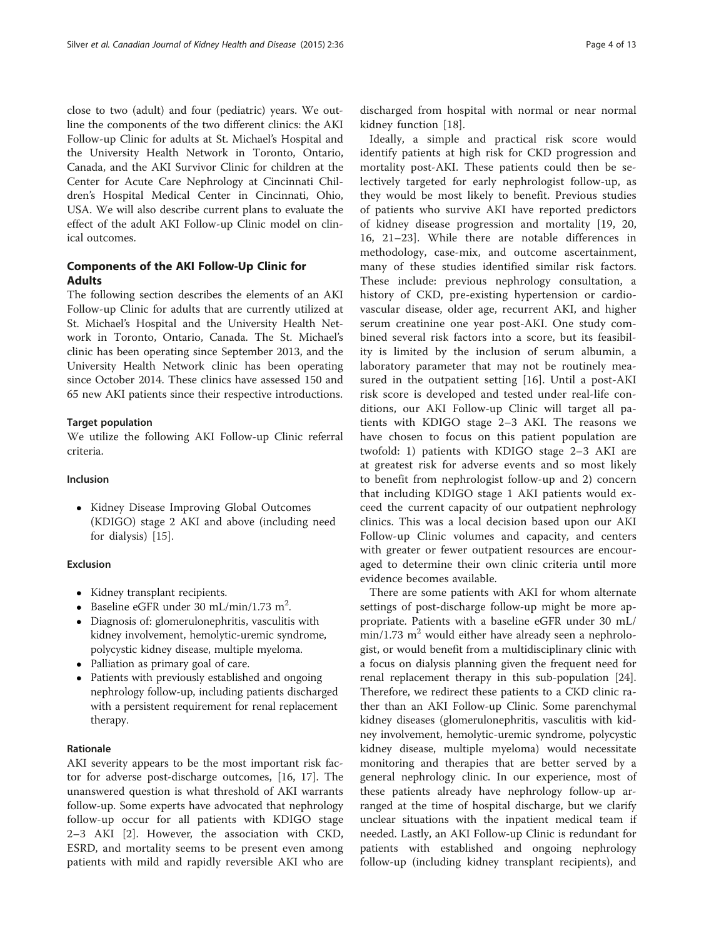close to two (adult) and four (pediatric) years. We outline the components of the two different clinics: the AKI Follow-up Clinic for adults at St. Michael's Hospital and the University Health Network in Toronto, Ontario, Canada, and the AKI Survivor Clinic for children at the Center for Acute Care Nephrology at Cincinnati Children's Hospital Medical Center in Cincinnati, Ohio, USA. We will also describe current plans to evaluate the effect of the adult AKI Follow-up Clinic model on clinical outcomes.

# Components of the AKI Follow-Up Clinic for Adults

The following section describes the elements of an AKI Follow-up Clinic for adults that are currently utilized at St. Michael's Hospital and the University Health Network in Toronto, Ontario, Canada. The St. Michael's clinic has been operating since September 2013, and the University Health Network clinic has been operating since October 2014. These clinics have assessed 150 and 65 new AKI patients since their respective introductions.

# Target population

We utilize the following AKI Follow-up Clinic referral criteria.

# Inclusion

• Kidney Disease Improving Global Outcomes (KDIGO) stage 2 AKI and above (including need for dialysis) [[15\]](#page-11-0).

# Exclusion

- Kidney transplant recipients.
- Baseline eGFR under 30 mL/min/1.73 m<sup>2</sup>.
- Diagnosis of: glomerulonephritis, vasculitis with kidney involvement, hemolytic-uremic syndrome, polycystic kidney disease, multiple myeloma.
- Palliation as primary goal of care.
- Patients with previously established and ongoing nephrology follow-up, including patients discharged with a persistent requirement for renal replacement therapy.

# Rationale

AKI severity appears to be the most important risk factor for adverse post-discharge outcomes, [[16, 17](#page-11-0)]. The unanswered question is what threshold of AKI warrants follow-up. Some experts have advocated that nephrology follow-up occur for all patients with KDIGO stage 2–3 AKI [[2\]](#page-11-0). However, the association with CKD, ESRD, and mortality seems to be present even among patients with mild and rapidly reversible AKI who are

discharged from hospital with normal or near normal kidney function [\[18](#page-11-0)].

Ideally, a simple and practical risk score would identify patients at high risk for CKD progression and mortality post-AKI. These patients could then be selectively targeted for early nephrologist follow-up, as they would be most likely to benefit. Previous studies of patients who survive AKI have reported predictors of kidney disease progression and mortality [[19, 20](#page-11-0), [16, 21](#page-11-0)–[23\]](#page-12-0). While there are notable differences in methodology, case-mix, and outcome ascertainment, many of these studies identified similar risk factors. These include: previous nephrology consultation, a history of CKD, pre-existing hypertension or cardiovascular disease, older age, recurrent AKI, and higher serum creatinine one year post-AKI. One study combined several risk factors into a score, but its feasibility is limited by the inclusion of serum albumin, a laboratory parameter that may not be routinely measured in the outpatient setting [[16\]](#page-11-0). Until a post-AKI risk score is developed and tested under real-life conditions, our AKI Follow-up Clinic will target all patients with KDIGO stage 2–3 AKI. The reasons we have chosen to focus on this patient population are twofold: 1) patients with KDIGO stage 2–3 AKI are at greatest risk for adverse events and so most likely to benefit from nephrologist follow-up and 2) concern that including KDIGO stage 1 AKI patients would exceed the current capacity of our outpatient nephrology clinics. This was a local decision based upon our AKI Follow-up Clinic volumes and capacity, and centers with greater or fewer outpatient resources are encouraged to determine their own clinic criteria until more evidence becomes available.

There are some patients with AKI for whom alternate settings of post-discharge follow-up might be more appropriate. Patients with a baseline eGFR under 30 mL/  $min/1.73$  m<sup>2</sup> would either have already seen a nephrologist, or would benefit from a multidisciplinary clinic with a focus on dialysis planning given the frequent need for renal replacement therapy in this sub-population [\[24](#page-12-0)]. Therefore, we redirect these patients to a CKD clinic rather than an AKI Follow-up Clinic. Some parenchymal kidney diseases (glomerulonephritis, vasculitis with kidney involvement, hemolytic-uremic syndrome, polycystic kidney disease, multiple myeloma) would necessitate monitoring and therapies that are better served by a general nephrology clinic. In our experience, most of these patients already have nephrology follow-up arranged at the time of hospital discharge, but we clarify unclear situations with the inpatient medical team if needed. Lastly, an AKI Follow-up Clinic is redundant for patients with established and ongoing nephrology follow-up (including kidney transplant recipients), and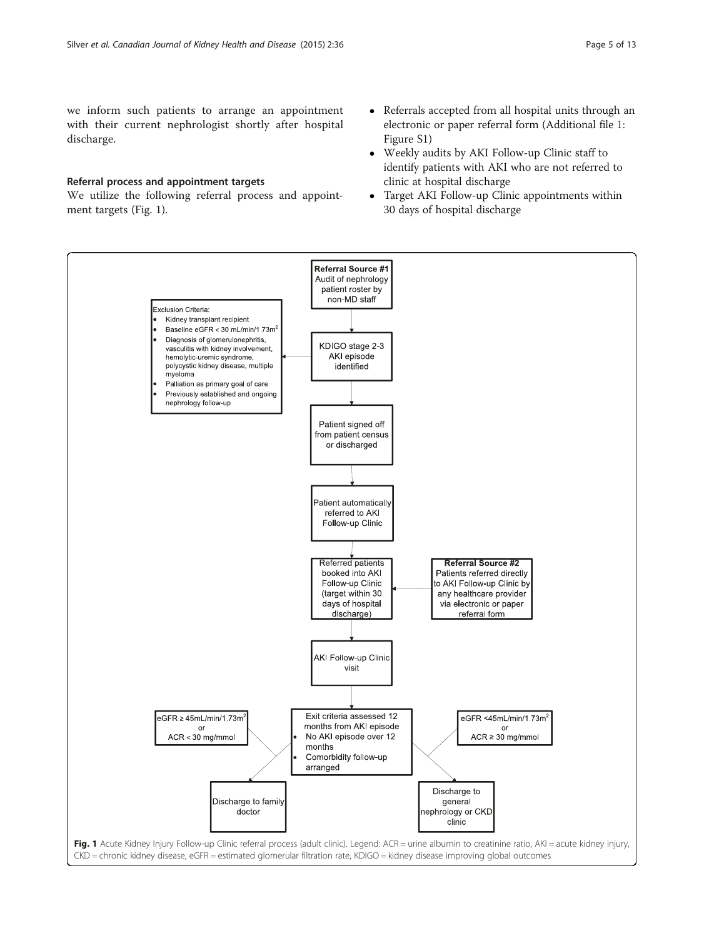<span id="page-4-0"></span>we inform such patients to arrange an appointment with their current nephrologist shortly after hospital discharge.

#### Referral process and appointment targets

We utilize the following referral process and appointment targets (Fig. 1).

- Referrals accepted from all hospital units through an electronic or paper referral form (Additional file [1:](#page-11-0) Figure S1)
- Weekly audits by AKI Follow-up Clinic staff to identify patients with AKI who are not referred to clinic at hospital discharge
- Target AKI Follow-up Clinic appointments within 30 days of hospital discharge

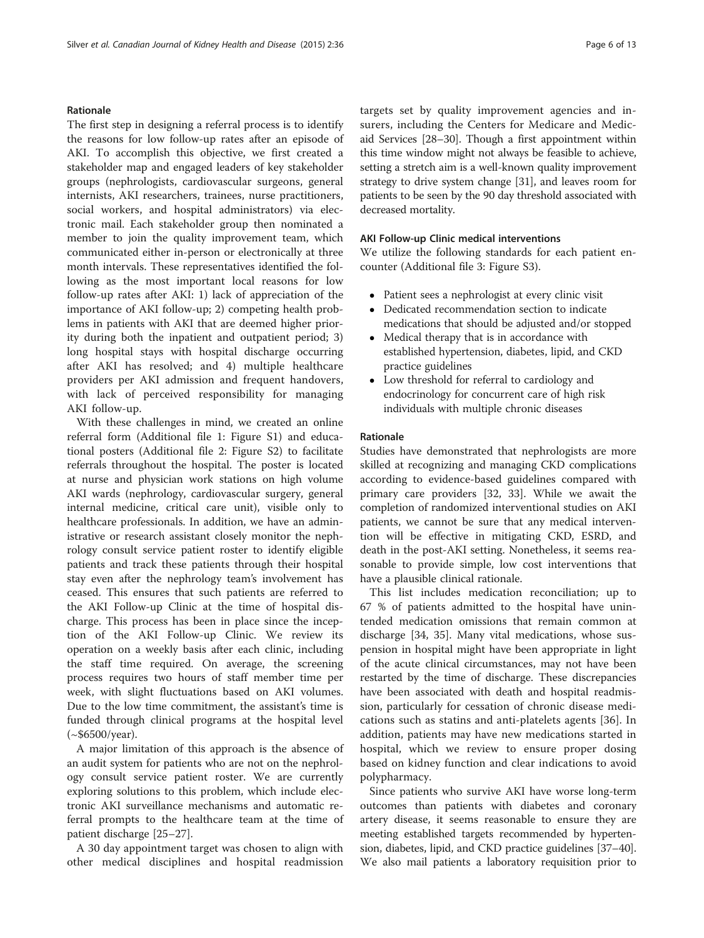#### Rationale

The first step in designing a referral process is to identify the reasons for low follow-up rates after an episode of AKI. To accomplish this objective, we first created a stakeholder map and engaged leaders of key stakeholder groups (nephrologists, cardiovascular surgeons, general internists, AKI researchers, trainees, nurse practitioners, social workers, and hospital administrators) via electronic mail. Each stakeholder group then nominated a member to join the quality improvement team, which communicated either in-person or electronically at three month intervals. These representatives identified the following as the most important local reasons for low follow-up rates after AKI: 1) lack of appreciation of the importance of AKI follow-up; 2) competing health problems in patients with AKI that are deemed higher priority during both the inpatient and outpatient period; 3) long hospital stays with hospital discharge occurring after AKI has resolved; and 4) multiple healthcare providers per AKI admission and frequent handovers, with lack of perceived responsibility for managing AKI follow-up.

With these challenges in mind, we created an online referral form (Additional file [1:](#page-11-0) Figure S1) and educational posters (Additional file [2:](#page-11-0) Figure S2) to facilitate referrals throughout the hospital. The poster is located at nurse and physician work stations on high volume AKI wards (nephrology, cardiovascular surgery, general internal medicine, critical care unit), visible only to healthcare professionals. In addition, we have an administrative or research assistant closely monitor the nephrology consult service patient roster to identify eligible patients and track these patients through their hospital stay even after the nephrology team's involvement has ceased. This ensures that such patients are referred to the AKI Follow-up Clinic at the time of hospital discharge. This process has been in place since the inception of the AKI Follow-up Clinic. We review its operation on a weekly basis after each clinic, including the staff time required. On average, the screening process requires two hours of staff member time per week, with slight fluctuations based on AKI volumes. Due to the low time commitment, the assistant's time is funded through clinical programs at the hospital level  $(*\$6500/year).$ 

A major limitation of this approach is the absence of an audit system for patients who are not on the nephrology consult service patient roster. We are currently exploring solutions to this problem, which include electronic AKI surveillance mechanisms and automatic referral prompts to the healthcare team at the time of patient discharge [\[25](#page-12-0)–[27](#page-12-0)].

A 30 day appointment target was chosen to align with other medical disciplines and hospital readmission targets set by quality improvement agencies and insurers, including the Centers for Medicare and Medicaid Services [\[28](#page-12-0)–[30](#page-12-0)]. Though a first appointment within this time window might not always be feasible to achieve, setting a stretch aim is a well-known quality improvement strategy to drive system change [\[31\]](#page-12-0), and leaves room for patients to be seen by the 90 day threshold associated with decreased mortality.

# AKI Follow-up Clinic medical interventions

We utilize the following standards for each patient encounter (Additional file [3:](#page-11-0) Figure S3).

- Patient sees a nephrologist at every clinic visit
- Dedicated recommendation section to indicate medications that should be adjusted and/or stopped
- Medical therapy that is in accordance with established hypertension, diabetes, lipid, and CKD practice guidelines
- Low threshold for referral to cardiology and endocrinology for concurrent care of high risk individuals with multiple chronic diseases

#### Rationale

Studies have demonstrated that nephrologists are more skilled at recognizing and managing CKD complications according to evidence-based guidelines compared with primary care providers [\[32](#page-12-0), [33\]](#page-12-0). While we await the completion of randomized interventional studies on AKI patients, we cannot be sure that any medical intervention will be effective in mitigating CKD, ESRD, and death in the post-AKI setting. Nonetheless, it seems reasonable to provide simple, low cost interventions that have a plausible clinical rationale.

This list includes medication reconciliation; up to 67 % of patients admitted to the hospital have unintended medication omissions that remain common at discharge [[34, 35\]](#page-12-0). Many vital medications, whose suspension in hospital might have been appropriate in light of the acute clinical circumstances, may not have been restarted by the time of discharge. These discrepancies have been associated with death and hospital readmission, particularly for cessation of chronic disease medications such as statins and anti-platelets agents [[36\]](#page-12-0). In addition, patients may have new medications started in hospital, which we review to ensure proper dosing based on kidney function and clear indications to avoid polypharmacy.

Since patients who survive AKI have worse long-term outcomes than patients with diabetes and coronary artery disease, it seems reasonable to ensure they are meeting established targets recommended by hypertension, diabetes, lipid, and CKD practice guidelines [\[37](#page-12-0)–[40](#page-12-0)]. We also mail patients a laboratory requisition prior to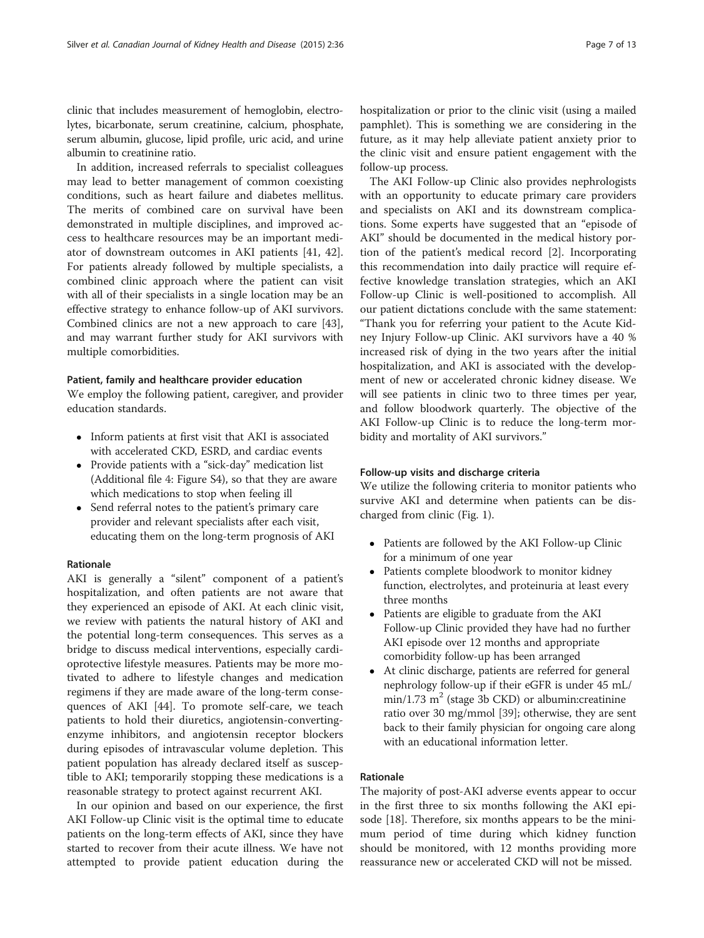clinic that includes measurement of hemoglobin, electrolytes, bicarbonate, serum creatinine, calcium, phosphate, serum albumin, glucose, lipid profile, uric acid, and urine albumin to creatinine ratio.

In addition, increased referrals to specialist colleagues may lead to better management of common coexisting conditions, such as heart failure and diabetes mellitus. The merits of combined care on survival have been demonstrated in multiple disciplines, and improved access to healthcare resources may be an important mediator of downstream outcomes in AKI patients [\[41](#page-12-0), [42](#page-12-0)]. For patients already followed by multiple specialists, a combined clinic approach where the patient can visit with all of their specialists in a single location may be an effective strategy to enhance follow-up of AKI survivors. Combined clinics are not a new approach to care [\[43](#page-12-0)], and may warrant further study for AKI survivors with multiple comorbidities.

#### Patient, family and healthcare provider education

We employ the following patient, caregiver, and provider education standards.

- Inform patients at first visit that AKI is associated with accelerated CKD, ESRD, and cardiac events
- Provide patients with a "sick-day" medication list (Additional file [4:](#page-11-0) Figure S4), so that they are aware which medications to stop when feeling ill
- Send referral notes to the patient's primary care provider and relevant specialists after each visit, educating them on the long-term prognosis of AKI

## Rationale

AKI is generally a "silent" component of a patient's hospitalization, and often patients are not aware that they experienced an episode of AKI. At each clinic visit, we review with patients the natural history of AKI and the potential long-term consequences. This serves as a bridge to discuss medical interventions, especially cardioprotective lifestyle measures. Patients may be more motivated to adhere to lifestyle changes and medication regimens if they are made aware of the long-term consequences of AKI [\[44](#page-12-0)]. To promote self-care, we teach patients to hold their diuretics, angiotensin-convertingenzyme inhibitors, and angiotensin receptor blockers during episodes of intravascular volume depletion. This patient population has already declared itself as susceptible to AKI; temporarily stopping these medications is a reasonable strategy to protect against recurrent AKI.

In our opinion and based on our experience, the first AKI Follow-up Clinic visit is the optimal time to educate patients on the long-term effects of AKI, since they have started to recover from their acute illness. We have not attempted to provide patient education during the hospitalization or prior to the clinic visit (using a mailed pamphlet). This is something we are considering in the future, as it may help alleviate patient anxiety prior to the clinic visit and ensure patient engagement with the follow-up process.

The AKI Follow-up Clinic also provides nephrologists with an opportunity to educate primary care providers and specialists on AKI and its downstream complications. Some experts have suggested that an "episode of AKI" should be documented in the medical history portion of the patient's medical record [\[2](#page-11-0)]. Incorporating this recommendation into daily practice will require effective knowledge translation strategies, which an AKI Follow-up Clinic is well-positioned to accomplish. All our patient dictations conclude with the same statement: "Thank you for referring your patient to the Acute Kidney Injury Follow-up Clinic. AKI survivors have a 40 % increased risk of dying in the two years after the initial hospitalization, and AKI is associated with the development of new or accelerated chronic kidney disease. We will see patients in clinic two to three times per year, and follow bloodwork quarterly. The objective of the AKI Follow-up Clinic is to reduce the long-term morbidity and mortality of AKI survivors."

# Follow-up visits and discharge criteria

We utilize the following criteria to monitor patients who survive AKI and determine when patients can be discharged from clinic (Fig. [1\)](#page-4-0).

- Patients are followed by the AKI Follow-up Clinic for a minimum of one year
- Patients complete bloodwork to monitor kidney function, electrolytes, and proteinuria at least every three months
- Patients are eligible to graduate from the AKI Follow-up Clinic provided they have had no further AKI episode over 12 months and appropriate comorbidity follow-up has been arranged
- At clinic discharge, patients are referred for general nephrology follow-up if their eGFR is under 45 mL/  $min/1.73$  m<sup>2</sup> (stage 3b CKD) or albumin: creatinine ratio over 30 mg/mmol [\[39\]](#page-12-0); otherwise, they are sent back to their family physician for ongoing care along with an educational information letter.

# Rationale

The majority of post-AKI adverse events appear to occur in the first three to six months following the AKI episode [[18](#page-11-0)]. Therefore, six months appears to be the minimum period of time during which kidney function should be monitored, with 12 months providing more reassurance new or accelerated CKD will not be missed.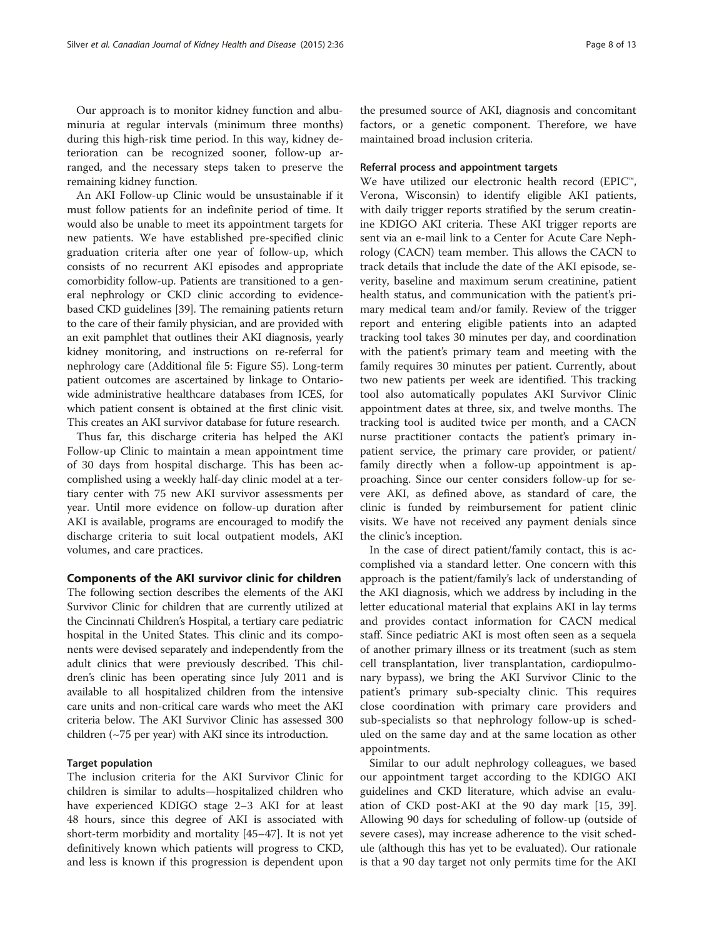Our approach is to monitor kidney function and albuminuria at regular intervals (minimum three months) during this high-risk time period. In this way, kidney deterioration can be recognized sooner, follow-up arranged, and the necessary steps taken to preserve the remaining kidney function.

An AKI Follow-up Clinic would be unsustainable if it must follow patients for an indefinite period of time. It would also be unable to meet its appointment targets for new patients. We have established pre-specified clinic graduation criteria after one year of follow-up, which consists of no recurrent AKI episodes and appropriate comorbidity follow-up. Patients are transitioned to a general nephrology or CKD clinic according to evidencebased CKD guidelines [\[39\]](#page-12-0). The remaining patients return to the care of their family physician, and are provided with an exit pamphlet that outlines their AKI diagnosis, yearly kidney monitoring, and instructions on re-referral for nephrology care (Additional file [5:](#page-11-0) Figure S5). Long-term patient outcomes are ascertained by linkage to Ontariowide administrative healthcare databases from ICES, for which patient consent is obtained at the first clinic visit. This creates an AKI survivor database for future research.

Thus far, this discharge criteria has helped the AKI Follow-up Clinic to maintain a mean appointment time of 30 days from hospital discharge. This has been accomplished using a weekly half-day clinic model at a tertiary center with 75 new AKI survivor assessments per year. Until more evidence on follow-up duration after AKI is available, programs are encouraged to modify the discharge criteria to suit local outpatient models, AKI volumes, and care practices.

#### Components of the AKI survivor clinic for children

The following section describes the elements of the AKI Survivor Clinic for children that are currently utilized at the Cincinnati Children's Hospital, a tertiary care pediatric hospital in the United States. This clinic and its components were devised separately and independently from the adult clinics that were previously described. This children's clinic has been operating since July 2011 and is available to all hospitalized children from the intensive care units and non-critical care wards who meet the AKI criteria below. The AKI Survivor Clinic has assessed 300 children (~75 per year) with AKI since its introduction.

# Target population

The inclusion criteria for the AKI Survivor Clinic for children is similar to adults—hospitalized children who have experienced KDIGO stage 2–3 AKI for at least 48 hours, since this degree of AKI is associated with short-term morbidity and mortality [[45](#page-12-0)–[47](#page-12-0)]. It is not yet definitively known which patients will progress to CKD, and less is known if this progression is dependent upon the presumed source of AKI, diagnosis and concomitant factors, or a genetic component. Therefore, we have maintained broad inclusion criteria.

#### Referral process and appointment targets

We have utilized our electronic health record (EPIC™, Verona, Wisconsin) to identify eligible AKI patients, with daily trigger reports stratified by the serum creatinine KDIGO AKI criteria. These AKI trigger reports are sent via an e-mail link to a Center for Acute Care Nephrology (CACN) team member. This allows the CACN to track details that include the date of the AKI episode, severity, baseline and maximum serum creatinine, patient health status, and communication with the patient's primary medical team and/or family. Review of the trigger report and entering eligible patients into an adapted tracking tool takes 30 minutes per day, and coordination with the patient's primary team and meeting with the family requires 30 minutes per patient. Currently, about two new patients per week are identified. This tracking tool also automatically populates AKI Survivor Clinic appointment dates at three, six, and twelve months. The tracking tool is audited twice per month, and a CACN nurse practitioner contacts the patient's primary inpatient service, the primary care provider, or patient/ family directly when a follow-up appointment is approaching. Since our center considers follow-up for severe AKI, as defined above, as standard of care, the clinic is funded by reimbursement for patient clinic visits. We have not received any payment denials since the clinic's inception.

In the case of direct patient/family contact, this is accomplished via a standard letter. One concern with this approach is the patient/family's lack of understanding of the AKI diagnosis, which we address by including in the letter educational material that explains AKI in lay terms and provides contact information for CACN medical staff. Since pediatric AKI is most often seen as a sequela of another primary illness or its treatment (such as stem cell transplantation, liver transplantation, cardiopulmonary bypass), we bring the AKI Survivor Clinic to the patient's primary sub-specialty clinic. This requires close coordination with primary care providers and sub-specialists so that nephrology follow-up is scheduled on the same day and at the same location as other appointments.

Similar to our adult nephrology colleagues, we based our appointment target according to the KDIGO AKI guidelines and CKD literature, which advise an evaluation of CKD post-AKI at the 90 day mark [\[15](#page-11-0), [39](#page-12-0)]. Allowing 90 days for scheduling of follow-up (outside of severe cases), may increase adherence to the visit schedule (although this has yet to be evaluated). Our rationale is that a 90 day target not only permits time for the AKI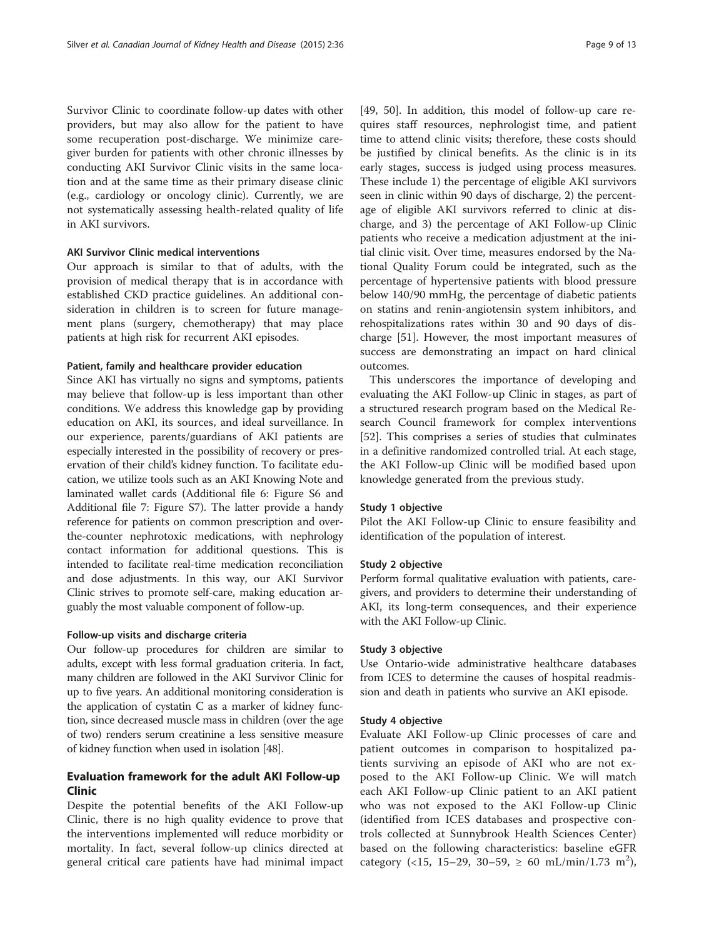Survivor Clinic to coordinate follow-up dates with other providers, but may also allow for the patient to have some recuperation post-discharge. We minimize caregiver burden for patients with other chronic illnesses by conducting AKI Survivor Clinic visits in the same location and at the same time as their primary disease clinic (e.g., cardiology or oncology clinic). Currently, we are not systematically assessing health-related quality of life in AKI survivors.

#### AKI Survivor Clinic medical interventions

Our approach is similar to that of adults, with the provision of medical therapy that is in accordance with established CKD practice guidelines. An additional consideration in children is to screen for future management plans (surgery, chemotherapy) that may place patients at high risk for recurrent AKI episodes.

#### Patient, family and healthcare provider education

Since AKI has virtually no signs and symptoms, patients may believe that follow-up is less important than other conditions. We address this knowledge gap by providing education on AKI, its sources, and ideal surveillance. In our experience, parents/guardians of AKI patients are especially interested in the possibility of recovery or preservation of their child's kidney function. To facilitate education, we utilize tools such as an AKI Knowing Note and laminated wallet cards (Additional file [6](#page-11-0): Figure S6 and Additional file [7](#page-11-0): Figure S7). The latter provide a handy reference for patients on common prescription and overthe-counter nephrotoxic medications, with nephrology contact information for additional questions. This is intended to facilitate real-time medication reconciliation and dose adjustments. In this way, our AKI Survivor Clinic strives to promote self-care, making education arguably the most valuable component of follow-up.

#### Follow-up visits and discharge criteria

Our follow-up procedures for children are similar to adults, except with less formal graduation criteria. In fact, many children are followed in the AKI Survivor Clinic for up to five years. An additional monitoring consideration is the application of cystatin C as a marker of kidney function, since decreased muscle mass in children (over the age of two) renders serum creatinine a less sensitive measure of kidney function when used in isolation [\[48](#page-12-0)].

# Evaluation framework for the adult AKI Follow-up Clinic

Despite the potential benefits of the AKI Follow-up Clinic, there is no high quality evidence to prove that the interventions implemented will reduce morbidity or mortality. In fact, several follow-up clinics directed at general critical care patients have had minimal impact [[49, 50](#page-12-0)]. In addition, this model of follow-up care requires staff resources, nephrologist time, and patient time to attend clinic visits; therefore, these costs should be justified by clinical benefits. As the clinic is in its early stages, success is judged using process measures. These include 1) the percentage of eligible AKI survivors seen in clinic within 90 days of discharge, 2) the percentage of eligible AKI survivors referred to clinic at discharge, and 3) the percentage of AKI Follow-up Clinic patients who receive a medication adjustment at the initial clinic visit. Over time, measures endorsed by the National Quality Forum could be integrated, such as the percentage of hypertensive patients with blood pressure below 140/90 mmHg, the percentage of diabetic patients on statins and renin-angiotensin system inhibitors, and rehospitalizations rates within 30 and 90 days of discharge [\[51\]](#page-12-0). However, the most important measures of success are demonstrating an impact on hard clinical outcomes.

This underscores the importance of developing and evaluating the AKI Follow-up Clinic in stages, as part of a structured research program based on the Medical Research Council framework for complex interventions [[52\]](#page-12-0). This comprises a series of studies that culminates in a definitive randomized controlled trial. At each stage, the AKI Follow-up Clinic will be modified based upon knowledge generated from the previous study.

#### Study 1 objective

Pilot the AKI Follow-up Clinic to ensure feasibility and identification of the population of interest.

#### Study 2 objective

Perform formal qualitative evaluation with patients, caregivers, and providers to determine their understanding of AKI, its long-term consequences, and their experience with the AKI Follow-up Clinic.

#### Study 3 objective

Use Ontario-wide administrative healthcare databases from ICES to determine the causes of hospital readmission and death in patients who survive an AKI episode.

#### Study 4 objective

Evaluate AKI Follow-up Clinic processes of care and patient outcomes in comparison to hospitalized patients surviving an episode of AKI who are not exposed to the AKI Follow-up Clinic. We will match each AKI Follow-up Clinic patient to an AKI patient who was not exposed to the AKI Follow-up Clinic (identified from ICES databases and prospective controls collected at Sunnybrook Health Sciences Center) based on the following characteristics: baseline eGFR category (<15, 15-29, 30-59,  $\geq 60 \text{ mL/min}/1.73 \text{ m}^2$ ),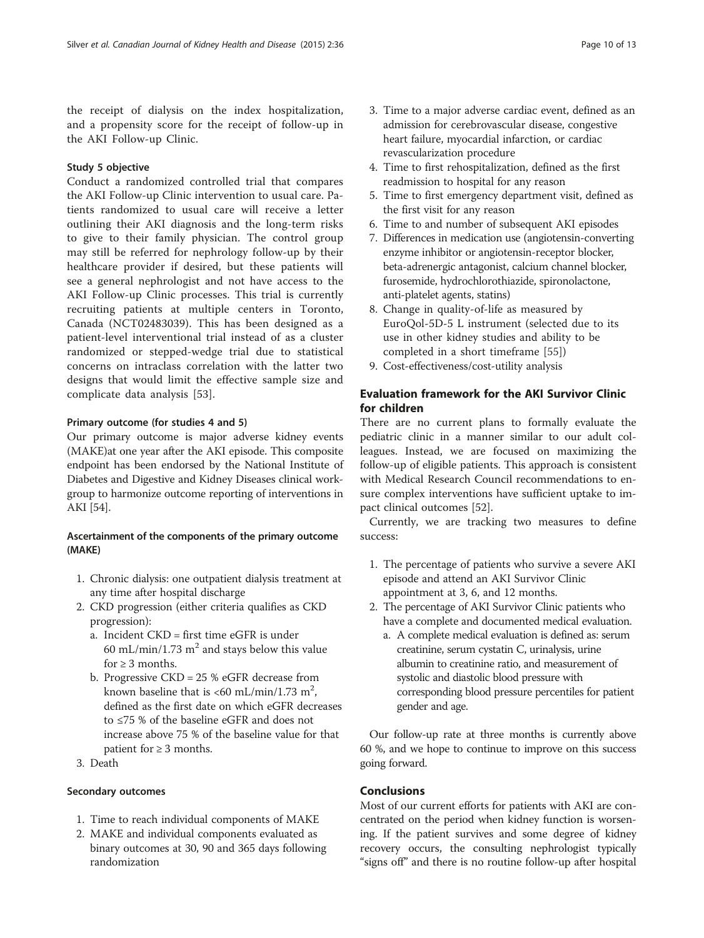the receipt of dialysis on the index hospitalization, and a propensity score for the receipt of follow-up in the AKI Follow-up Clinic.

# Study 5 objective

Conduct a randomized controlled trial that compares the AKI Follow-up Clinic intervention to usual care. Patients randomized to usual care will receive a letter outlining their AKI diagnosis and the long-term risks to give to their family physician. The control group may still be referred for nephrology follow-up by their healthcare provider if desired, but these patients will see a general nephrologist and not have access to the AKI Follow-up Clinic processes. This trial is currently recruiting patients at multiple centers in Toronto, Canada (NCT02483039). This has been designed as a patient-level interventional trial instead of as a cluster randomized or stepped-wedge trial due to statistical concerns on intraclass correlation with the latter two designs that would limit the effective sample size and complicate data analysis [[53\]](#page-12-0).

# Primary outcome (for studies 4 and 5)

Our primary outcome is major adverse kidney events (MAKE)at one year after the AKI episode. This composite endpoint has been endorsed by the National Institute of Diabetes and Digestive and Kidney Diseases clinical workgroup to harmonize outcome reporting of interventions in AKI [\[54\]](#page-12-0).

# Ascertainment of the components of the primary outcome (MAKE)

- 1. Chronic dialysis: one outpatient dialysis treatment at any time after hospital discharge
- 2. CKD progression (either criteria qualifies as CKD progression):
	- a. Incident CKD = first time eGFR is under 60 mL/min/1.73  $m<sup>2</sup>$  and stays below this value for  $\geq 3$  months.
	- b. Progressive CKD = 25 % eGFR decrease from known baseline that is <60 mL/min/1.73 m<sup>2</sup>, defined as the first date on which eGFR decreases to ≤75 % of the baseline eGFR and does not increase above 75 % of the baseline value for that patient for  $\geq$  3 months.
- 3. Death

# Secondary outcomes

- 1. Time to reach individual components of MAKE
- 2. MAKE and individual components evaluated as binary outcomes at 30, 90 and 365 days following randomization
- 3. Time to a major adverse cardiac event, defined as an admission for cerebrovascular disease, congestive heart failure, myocardial infarction, or cardiac revascularization procedure
- 4. Time to first rehospitalization, defined as the first readmission to hospital for any reason
- 5. Time to first emergency department visit, defined as the first visit for any reason
- 6. Time to and number of subsequent AKI episodes
- 7. Differences in medication use (angiotensin-converting enzyme inhibitor or angiotensin-receptor blocker, beta-adrenergic antagonist, calcium channel blocker, furosemide, hydrochlorothiazide, spironolactone, anti-platelet agents, statins)
- 8. Change in quality-of-life as measured by EuroQol-5D-5 L instrument (selected due to its use in other kidney studies and ability to be completed in a short timeframe [\[55\]](#page-12-0))
- 9. Cost-effectiveness/cost-utility analysis

# Evaluation framework for the AKI Survivor Clinic for children

There are no current plans to formally evaluate the pediatric clinic in a manner similar to our adult colleagues. Instead, we are focused on maximizing the follow-up of eligible patients. This approach is consistent with Medical Research Council recommendations to ensure complex interventions have sufficient uptake to impact clinical outcomes [\[52](#page-12-0)].

Currently, we are tracking two measures to define success:

- 1. The percentage of patients who survive a severe AKI episode and attend an AKI Survivor Clinic appointment at 3, 6, and 12 months.
- 2. The percentage of AKI Survivor Clinic patients who have a complete and documented medical evaluation.
	- a. A complete medical evaluation is defined as: serum creatinine, serum cystatin C, urinalysis, urine albumin to creatinine ratio, and measurement of systolic and diastolic blood pressure with corresponding blood pressure percentiles for patient gender and age.

Our follow-up rate at three months is currently above 60 %, and we hope to continue to improve on this success going forward.

# Conclusions

Most of our current efforts for patients with AKI are concentrated on the period when kidney function is worsening. If the patient survives and some degree of kidney recovery occurs, the consulting nephrologist typically "signs off" and there is no routine follow-up after hospital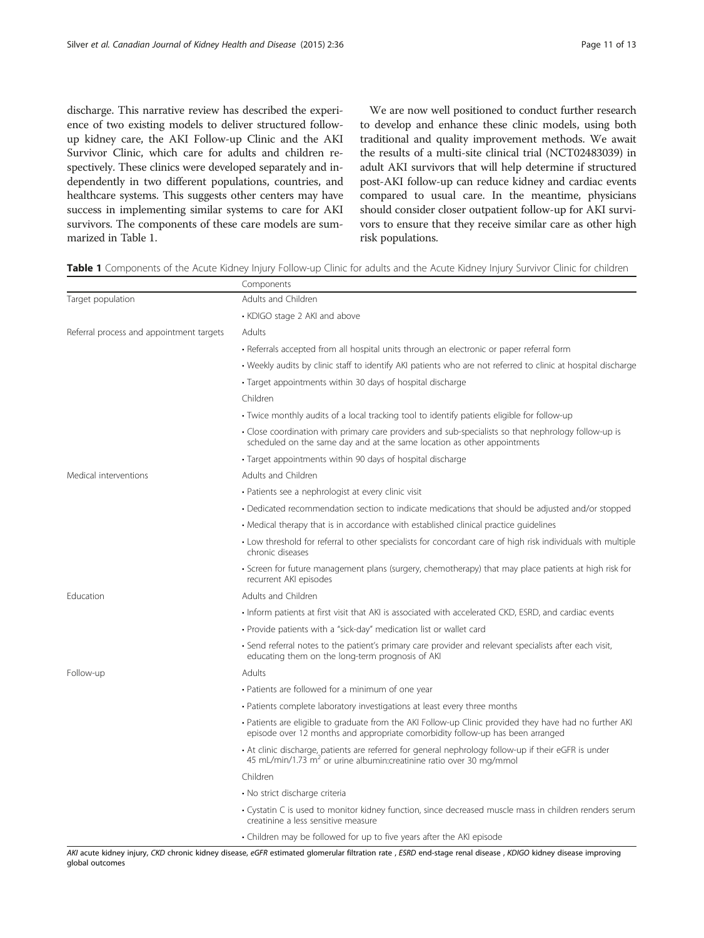discharge. This narrative review has described the experience of two existing models to deliver structured followup kidney care, the AKI Follow-up Clinic and the AKI Survivor Clinic, which care for adults and children respectively. These clinics were developed separately and independently in two different populations, countries, and healthcare systems. This suggests other centers may have success in implementing similar systems to care for AKI survivors. The components of these care models are summarized in Table 1.

We are now well positioned to conduct further research to develop and enhance these clinic models, using both traditional and quality improvement methods. We await the results of a multi-site clinical trial (NCT02483039) in adult AKI survivors that will help determine if structured post-AKI follow-up can reduce kidney and cardiac events compared to usual care. In the meantime, physicians should consider closer outpatient follow-up for AKI survivors to ensure that they receive similar care as other high risk populations.

Table 1 Components of the Acute Kidney Injury Follow-up Clinic for adults and the Acute Kidney Injury Survivor Clinic for children

|                                          | Components                                                                                                                                                                                |
|------------------------------------------|-------------------------------------------------------------------------------------------------------------------------------------------------------------------------------------------|
| Target population                        | Adults and Children                                                                                                                                                                       |
|                                          | • KDIGO stage 2 AKI and above                                                                                                                                                             |
| Referral process and appointment targets | Adults                                                                                                                                                                                    |
|                                          | • Referrals accepted from all hospital units through an electronic or paper referral form                                                                                                 |
|                                          | • Weekly audits by clinic staff to identify AKI patients who are not referred to clinic at hospital discharge                                                                             |
|                                          | • Target appointments within 30 days of hospital discharge                                                                                                                                |
|                                          | Children                                                                                                                                                                                  |
|                                          | • Twice monthly audits of a local tracking tool to identify patients eligible for follow-up                                                                                               |
|                                          | • Close coordination with primary care providers and sub-specialists so that nephrology follow-up is<br>scheduled on the same day and at the same location as other appointments          |
|                                          | • Target appointments within 90 days of hospital discharge                                                                                                                                |
| Medical interventions                    | Adults and Children                                                                                                                                                                       |
|                                          | • Patients see a nephrologist at every clinic visit                                                                                                                                       |
|                                          | • Dedicated recommendation section to indicate medications that should be adjusted and/or stopped                                                                                         |
|                                          | • Medical therapy that is in accordance with established clinical practice guidelines                                                                                                     |
|                                          | • Low threshold for referral to other specialists for concordant care of high risk individuals with multiple<br>chronic diseases                                                          |
|                                          | · Screen for future management plans (surgery, chemotherapy) that may place patients at high risk for<br>recurrent AKI episodes                                                           |
| <b>Education</b>                         | Adults and Children                                                                                                                                                                       |
|                                          | Inform patients at first visit that AKI is associated with accelerated CKD, ESRD, and cardiac events                                                                                      |
|                                          | • Provide patients with a "sick-day" medication list or wallet card                                                                                                                       |
|                                          | • Send referral notes to the patient's primary care provider and relevant specialists after each visit,<br>educating them on the long-term prognosis of AKI                               |
| Follow-up                                | Adults                                                                                                                                                                                    |
|                                          | • Patients are followed for a minimum of one year                                                                                                                                         |
|                                          | • Patients complete laboratory investigations at least every three months                                                                                                                 |
|                                          | · Patients are eligible to graduate from the AKI Follow-up Clinic provided they have had no further AKI<br>episode over 12 months and appropriate comorbidity follow-up has been arranged |
|                                          | • At clinic discharge, patients are referred for general nephrology follow-up if their eGFR is under<br>45 mL/min/1.73 m <sup>2</sup> or urine albumin:creatinine ratio over 30 mg/mmol   |
|                                          | Children                                                                                                                                                                                  |
|                                          | • No strict discharge criteria                                                                                                                                                            |
|                                          | • Cystatin C is used to monitor kidney function, since decreased muscle mass in children renders serum<br>creatinine a less sensitive measure                                             |
|                                          | • Children may be followed for up to five years after the AKI episode                                                                                                                     |

AKI acute kidney injury, CKD chronic kidney disease, eGFR estimated glomerular filtration rate , ESRD end-stage renal disease , KDIGO kidney disease improving global outcomes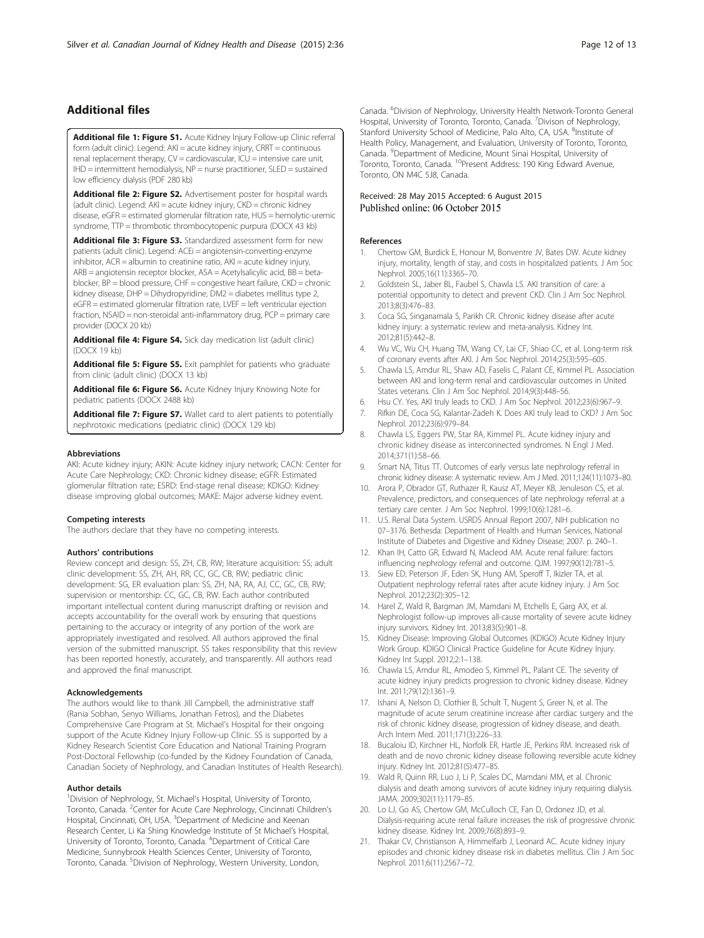# <span id="page-11-0"></span>Additional files

[Additional file 1: Figure S1.](http://www.cjkhd.org/content/supplementary/s40697-015-0071-8-s1.pdf) Acute Kidney Injury Follow-up Clinic referral form (adult clinic). Legend: AKI = acute kidney injury, CRRT = continuous renal replacement therapy, CV = cardiovascular, ICU = intensive care unit, IHD = intermittent hemodialysis, NP = nurse practitioner, SLED = sustained low efficiency dialysis (PDF 280 kb)

[Additional file 2: Figure S2.](http://www.cjkhd.org/content/supplementary/s40697-015-0071-8-s2.docx) Advertisement poster for hospital wards (adult clinic). Legend: AKI = acute kidney injury, CKD = chronic kidney disease, eGFR = estimated glomerular filtration rate, HUS = hemolytic-uremic syndrome, TTP = thrombotic thrombocytopenic purpura (DOCX 43 kb)

[Additional file 3: Figure S3.](http://www.cjkhd.org/content/supplementary/s40697-015-0071-8-s3.docx) Standardized assessment form for new patients (adult clinic). Legend: ACEi = angiotensin-converting-enzyme inhibitor,  $ACR =$  albumin to creatinine ratio,  $AKI =$  acute kidney injury, ARB = angiotensin receptor blocker, ASA = Acetylsalicylic acid, BB = betablocker, BP = blood pressure, CHF = congestive heart failure, CKD = chronic kidney disease, DHP = Dihydropyridine, DM2 = diabetes mellitus type 2, eGFR = estimated glomerular filtration rate, LVEF = left ventricular ejection fraction, NSAID = non-steroidal anti-inflammatory drug, PCP = primary care provider (DOCX 20 kb)

[Additional file 4: Figure S4.](http://www.cjkhd.org/content/supplementary/s40697-015-0071-8-s4.docx) Sick day medication list (adult clinic) (DOCX 19 kb)

[Additional file 5: Figure S5.](http://www.cjkhd.org/content/supplementary/s40697-015-0071-8-s5.docx) Exit pamphlet for patients who graduate from clinic (adult clinic) (DOCX 13 kb)

[Additional file 6: Figure S6.](http://www.cjkhd.org/content/supplementary/s40697-015-0071-8-s6.docx) Acute Kidney Injury Knowing Note for pediatric patients (DOCX 2488 kb)

[Additional file 7: Figure S7.](http://www.cjkhd.org/content/supplementary/s40697-015-0071-8-s7.docx) Wallet card to alert patients to potentially nephrotoxic medications (pediatric clinic) (DOCX 129 kb)

#### Abbreviations

AKI: Acute kidney injury; AKIN: Acute kidney injury network; CACN: Center for Acute Care Nephrology; CKD: Chronic kidney disease; eGFR: Estimated glomerular filtration rate; ESRD: End-stage renal disease; KDIGO: Kidney disease improving global outcomes; MAKE: Major adverse kidney event.

#### Competing interests

The authors declare that they have no competing interests.

#### Authors' contributions

Review concept and design: SS, ZH, CB, RW; literature acquisition: SS; adult clinic development: SS, ZH, AH, RR, CC, GC, CB, RW; pediatric clinic development: SG, ER evaluation plan: SS, ZH, NA, RA, AJ, CC, GC, CB, RW; supervision or mentorship: CC, GC, CB, RW. Each author contributed important intellectual content during manuscript drafting or revision and accepts accountability for the overall work by ensuring that questions pertaining to the accuracy or integrity of any portion of the work are appropriately investigated and resolved. All authors approved the final version of the submitted manuscript. SS takes responsibility that this review has been reported honestly, accurately, and transparently. All authors read and approved the final manuscript.

#### Acknowledgements

The authors would like to thank Jill Campbell, the administrative staff (Rania Sobhan, Senyo Williams, Jonathan Fetros), and the Diabetes Comprehensive Care Program at St. Michael's Hospital for their ongoing support of the Acute Kidney Injury Follow-up Clinic. SS is supported by a Kidney Research Scientist Core Education and National Training Program Post-Doctoral Fellowship (co-funded by the Kidney Foundation of Canada, Canadian Society of Nephrology, and Canadian Institutes of Health Research).

#### Author details

<sup>1</sup> Division of Nephrology, St. Michael's Hospital, University of Toronto, Toronto, Canada. <sup>2</sup>Center for Acute Care Nephrology, Cincinnati Children's Hospital, Cincinnati, OH, USA. <sup>3</sup>Department of Medicine and Keenan Research Center, Li Ka Shing Knowledge Institute of St Michael's Hospital, University of Toronto, Toronto, Canada. <sup>4</sup>Department of Critical Care Medicine, Sunnybrook Health Sciences Center, University of Toronto, Toronto, Canada. <sup>5</sup>Division of Nephrology, Western University, London,

Canada. <sup>6</sup>Division of Nephrology, University Health Network-Toronto General Hospital, University of Toronto, Toronto, Canada. <sup>7</sup> Divison of Nephrology Stanford University School of Medicine, Palo Alto, CA, USA. <sup>8</sup>Institute of Health Policy, Management, and Evaluation, University of Toronto, Toronto, Canada. <sup>9</sup>Department of Medicine, Mount Sinai Hospital, University of Toronto, Toronto, Canada. 10Present Address: 190 King Edward Avenue, Toronto, ON M4C 5J8, Canada.

# Received: 28 May 2015 Accepted: 6 August 2015<br>Published online: 06 October 2015

#### References

- 1. Chertow GM, Burdick E, Honour M, Bonventre JV, Bates DW. Acute kidney injury, mortality, length of stay, and costs in hospitalized patients. J Am Soc Nephrol. 2005;16(11):3365–70.
- 2. Goldstein SL, Jaber BL, Faubel S, Chawla LS. AKI transition of care: a potential opportunity to detect and prevent CKD. Clin J Am Soc Nephrol. 2013;8(3):476–83.
- 3. Coca SG, Singanamala S, Parikh CR. Chronic kidney disease after acute kidney injury: a systematic review and meta-analysis. Kidney Int. 2012;81(5):442–8.
- 4. Wu VC, Wu CH, Huang TM, Wang CY, Lai CF, Shiao CC, et al. Long-term risk of coronary events after AKI. J Am Soc Nephrol. 2014;25(3):595–605.
- 5. Chawla LS, Amdur RL, Shaw AD, Faselis C, Palant CE, Kimmel PL. Association between AKI and long-term renal and cardiovascular outcomes in United States veterans. Clin J Am Soc Nephrol. 2014;9(3):448–56.
- 6. Hsu CY. Yes, AKI truly leads to CKD. J Am Soc Nephrol. 2012;23(6):967–9.
- 7. Rifkin DE, Coca SG, Kalantar-Zadeh K. Does AKI truly lead to CKD? J Am Soc Nephrol. 2012;23(6):979–84.
- 8. Chawla LS, Eggers PW, Star RA, Kimmel PL. Acute kidney injury and chronic kidney disease as interconnected syndromes. N Engl J Med. 2014;371(1):58–66.
- 9. Smart NA, Titus TT. Outcomes of early versus late nephrology referral in chronic kidney disease: A systematic review. Am J Med. 2011;124(11):1073–80.
- 10. Arora P, Obrador GT, Ruthazer R, Kausz AT, Meyer KB, Jenuleson CS, et al. Prevalence, predictors, and consequences of late nephrology referral at a tertiary care center. J Am Soc Nephrol. 1999;10(6):1281–6.
- 11. U.S. Renal Data System. USRDS Annual Report 2007, NIH publication no 07–3176. Bethesda: Department of Health and Human Services, National Institute of Diabetes and Digestive and Kidney Disease; 2007. p. 240–1.
- 12. Khan IH, Catto GR, Edward N, Macleod AM. Acute renal failure: factors influencing nephrology referral and outcome. QJM. 1997;90(12):781–5.
- 13. Siew ED, Peterson JF, Eden SK, Hung AM, Speroff T, Ikizler TA, et al. Outpatient nephrology referral rates after acute kidney injury. J Am Soc Nephrol. 2012;23(2):305–12.
- 14. Harel Z, Wald R, Bargman JM, Mamdani M, Etchells E, Garg AX, et al. Nephrologist follow-up improves all-cause mortality of severe acute kidney injury survivors. Kidney Int. 2013;83(5):901–8.
- 15. Kidney Disease: Improving Global Outcomes (KDIGO) Acute Kidney Injury Work Group. KDIGO Clinical Practice Guideline for Acute Kidney Injury. Kidney Int Suppl. 2012;2:1–138.
- 16. Chawla LS, Amdur RL, Amodeo S, Kimmel PL, Palant CE. The severity of acute kidney injury predicts progression to chronic kidney disease. Kidney Int. 2011;79(12):1361–9.
- 17. Ishani A, Nelson D, Clothier B, Schult T, Nugent S, Greer N, et al. The magnitude of acute serum creatinine increase after cardiac surgery and the risk of chronic kidney disease, progression of kidney disease, and death. Arch Intern Med. 2011;171(3):226–33.
- 18. Bucaloiu ID, Kirchner HL, Norfolk ER, Hartle JE, Perkins RM. Increased risk of death and de novo chronic kidney disease following reversible acute kidney injury. Kidney Int. 2012;81(5):477–85.
- 19. Wald R, Quinn RR, Luo J, Li P, Scales DC, Mamdani MM, et al. Chronic dialysis and death among survivors of acute kidney injury requiring dialysis. JAMA. 2009;302(11):1179–85.
- 20. Lo LJ, Go AS, Chertow GM, McCulloch CE, Fan D, Ordonez JD, et al. Dialysis-requiring acute renal failure increases the risk of progressive chronic kidney disease. Kidney Int. 2009;76(8):893–9.
- 21. Thakar CV, Christianson A, Himmelfarb J, Leonard AC. Acute kidney injury episodes and chronic kidney disease risk in diabetes mellitus. Clin J Am Soc Nephrol. 2011;6(11):2567–72.